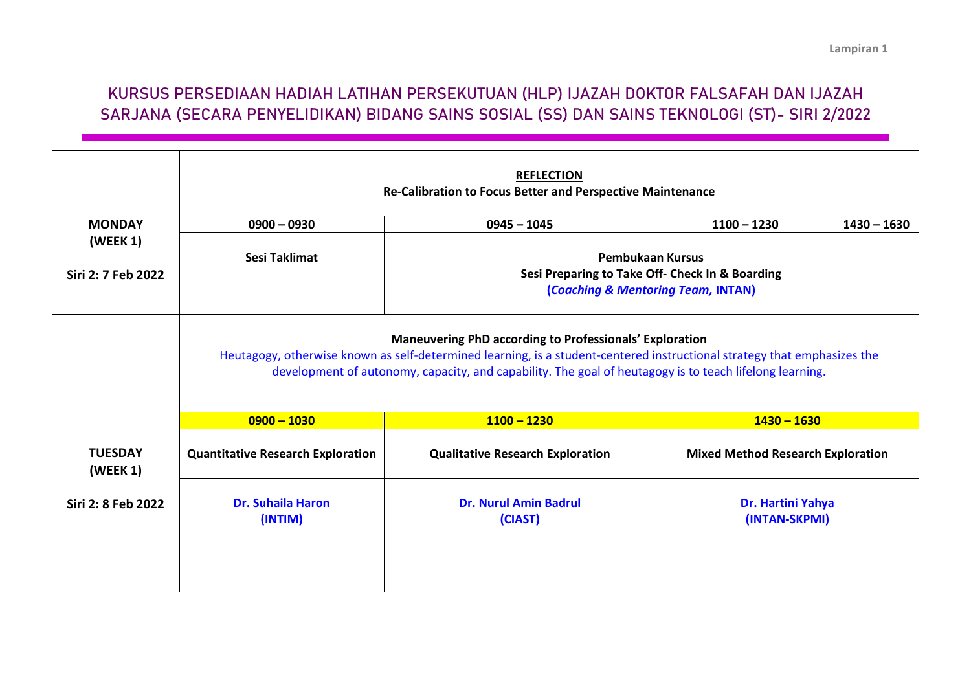## **KURSUS PERSEDIAAN HADIAH LATIHAN PERSEKUTUAN (HLP) IJAZAH DOKTOR FALSAFAH DAN IJAZAH SARJANA (SECARA PENYELIDIKAN) BIDANG SAINS SOSIAL (SS) DAN SAINS TEKNOLOGI (ST)- SIRI 2/2022**

|                                                 | <b>REFLECTION</b><br>Re-Calibration to Focus Better and Perspective Maintenance                                                                                                                                                                                                                       |                                         |                                          |               |  |
|-------------------------------------------------|-------------------------------------------------------------------------------------------------------------------------------------------------------------------------------------------------------------------------------------------------------------------------------------------------------|-----------------------------------------|------------------------------------------|---------------|--|
| <b>MONDAY</b><br>(WEEK 1)<br>Siri 2: 7 Feb 2022 | $0900 - 0930$                                                                                                                                                                                                                                                                                         | $0945 - 1045$                           | $1100 - 1230$                            | $1430 - 1630$ |  |
|                                                 | Sesi Taklimat<br><b>Pembukaan Kursus</b><br>Sesi Preparing to Take Off- Check In & Boarding<br>(Coaching & Mentoring Team, INTAN)                                                                                                                                                                     |                                         |                                          |               |  |
|                                                 | <b>Maneuvering PhD according to Professionals' Exploration</b><br>Heutagogy, otherwise known as self-determined learning, is a student-centered instructional strategy that emphasizes the<br>development of autonomy, capacity, and capability. The goal of heutagogy is to teach lifelong learning. |                                         |                                          |               |  |
|                                                 | $0900 - 1030$                                                                                                                                                                                                                                                                                         | $1100 - 1230$                           | $1430 - 1630$                            |               |  |
| <b>TUESDAY</b><br>(WEEK 1)                      | <b>Quantitative Research Exploration</b>                                                                                                                                                                                                                                                              | <b>Qualitative Research Exploration</b> | <b>Mixed Method Research Exploration</b> |               |  |
| Siri 2: 8 Feb 2022                              | <b>Dr. Suhaila Haron</b><br>(INTIM)                                                                                                                                                                                                                                                                   | <b>Dr. Nurul Amin Badrul</b><br>(CIAST) | Dr. Hartini Yahya<br>(INTAN-SKPMI)       |               |  |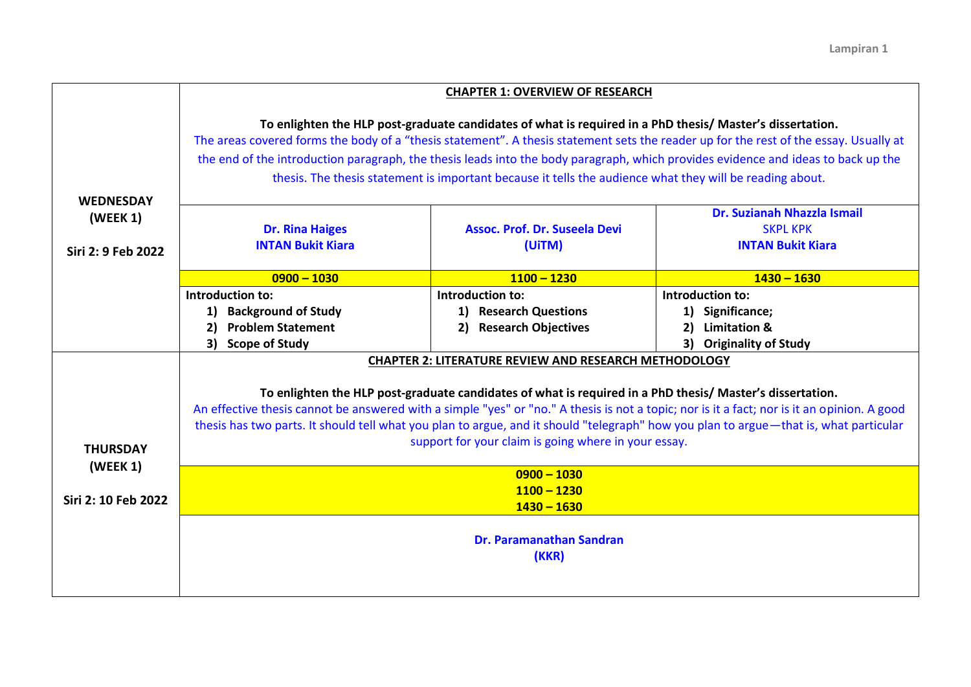|                                                    | <b>CHAPTER 1: OVERVIEW OF RESEARCH</b>                                                                                                                                                                                                                                                                                                                                                                                                                                                              |                                                                               |                                                                                                            |  |  |  |
|----------------------------------------------------|-----------------------------------------------------------------------------------------------------------------------------------------------------------------------------------------------------------------------------------------------------------------------------------------------------------------------------------------------------------------------------------------------------------------------------------------------------------------------------------------------------|-------------------------------------------------------------------------------|------------------------------------------------------------------------------------------------------------|--|--|--|
|                                                    | To enlighten the HLP post-graduate candidates of what is required in a PhD thesis/ Master's dissertation.<br>The areas covered forms the body of a "thesis statement". A thesis statement sets the reader up for the rest of the essay. Usually at<br>the end of the introduction paragraph, the thesis leads into the body paragraph, which provides evidence and ideas to back up the<br>thesis. The thesis statement is important because it tells the audience what they will be reading about. |                                                                               |                                                                                                            |  |  |  |
| <b>WEDNESDAY</b><br>(WEEK 1)<br>Siri 2: 9 Feb 2022 | <b>Dr. Rina Haiges</b><br><b>INTAN Bukit Kiara</b>                                                                                                                                                                                                                                                                                                                                                                                                                                                  | <b>Assoc. Prof. Dr. Suseela Devi</b><br>(UiTM)                                | Dr. Suzianah Nhazzla Ismail<br><b>SKPL KPK</b><br><b>INTAN Bukit Kiara</b>                                 |  |  |  |
|                                                    | $0900 - 1030$                                                                                                                                                                                                                                                                                                                                                                                                                                                                                       | $1100 - 1230$                                                                 | $1430 - 1630$                                                                                              |  |  |  |
|                                                    | Introduction to:<br>1) Background of Study<br><b>Problem Statement</b><br>2)<br>3)<br><b>Scope of Study</b>                                                                                                                                                                                                                                                                                                                                                                                         | Introduction to:<br>1) Research Questions<br><b>Research Objectives</b><br>2) | Introduction to:<br>1) Significance;<br><b>Limitation &amp;</b><br>2)<br><b>Originality of Study</b><br>3) |  |  |  |
|                                                    |                                                                                                                                                                                                                                                                                                                                                                                                                                                                                                     | <b>CHAPTER 2: LITERATURE REVIEW AND RESEARCH METHODOLOGY</b>                  |                                                                                                            |  |  |  |
| <b>THURSDAY</b><br>(WEEK 1)                        | To enlighten the HLP post-graduate candidates of what is required in a PhD thesis/ Master's dissertation.<br>An effective thesis cannot be answered with a simple "yes" or "no." A thesis is not a topic; nor is it a fact; nor is it an opinion. A good<br>thesis has two parts. It should tell what you plan to argue, and it should "telegraph" how you plan to argue - that is, what particular<br>support for your claim is going where in your essay.                                         |                                                                               |                                                                                                            |  |  |  |
| Siri 2: 10 Feb 2022                                | $0900 - 1030$<br>$1100 - 1230$<br>$1430 - 1630$                                                                                                                                                                                                                                                                                                                                                                                                                                                     |                                                                               |                                                                                                            |  |  |  |
|                                                    | <b>Dr. Paramanathan Sandran</b><br>(KKR)                                                                                                                                                                                                                                                                                                                                                                                                                                                            |                                                                               |                                                                                                            |  |  |  |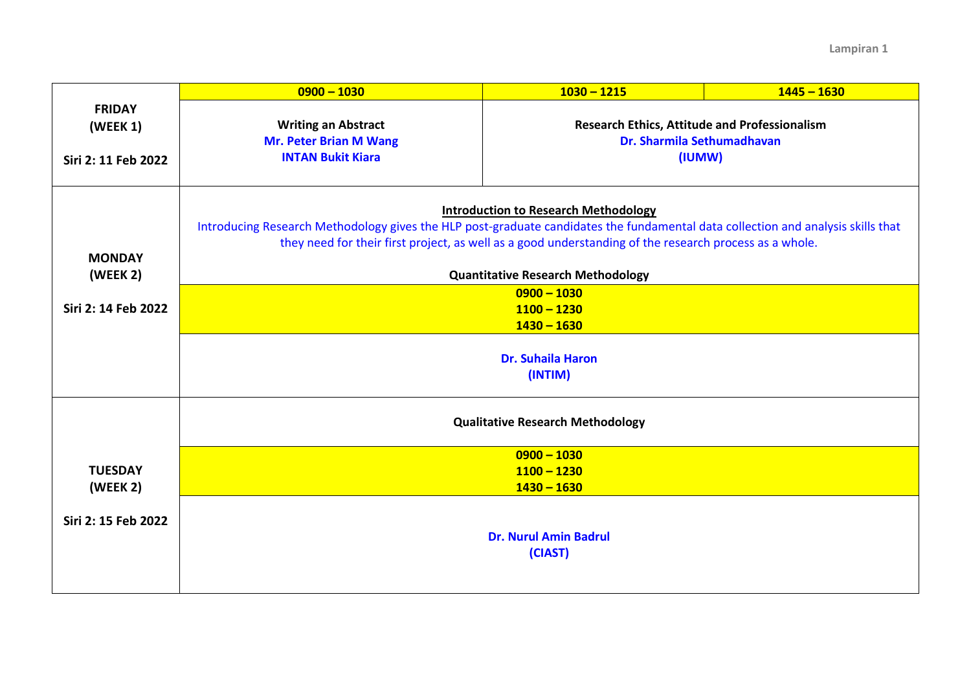|                     | $0900 - 1030$                                                                                                                    | $1030 - 1215$                                                                      | $1445 - 1630$ |  |  |  |  |
|---------------------|----------------------------------------------------------------------------------------------------------------------------------|------------------------------------------------------------------------------------|---------------|--|--|--|--|
| <b>FRIDAY</b>       |                                                                                                                                  |                                                                                    |               |  |  |  |  |
| (WEEK 1)            | <b>Writing an Abstract</b><br><b>Mr. Peter Brian M Wang</b>                                                                      | <b>Research Ethics, Attitude and Professionalism</b><br>Dr. Sharmila Sethumadhavan |               |  |  |  |  |
| Siri 2: 11 Feb 2022 | <b>INTAN Bukit Kiara</b>                                                                                                         | (IUMW)                                                                             |               |  |  |  |  |
|                     |                                                                                                                                  |                                                                                    |               |  |  |  |  |
|                     |                                                                                                                                  |                                                                                    |               |  |  |  |  |
|                     | <b>Introduction to Research Methodology</b>                                                                                      |                                                                                    |               |  |  |  |  |
|                     | Introducing Research Methodology gives the HLP post-graduate candidates the fundamental data collection and analysis skills that |                                                                                    |               |  |  |  |  |
| <b>MONDAY</b>       | they need for their first project, as well as a good understanding of the research process as a whole.                           |                                                                                    |               |  |  |  |  |
| (WEEK 2)            | <b>Quantitative Research Methodology</b>                                                                                         |                                                                                    |               |  |  |  |  |
|                     | $0900 - 1030$                                                                                                                    |                                                                                    |               |  |  |  |  |
| Siri 2: 14 Feb 2022 | $1100 - 1230$                                                                                                                    |                                                                                    |               |  |  |  |  |
|                     | $1430 - 1630$                                                                                                                    |                                                                                    |               |  |  |  |  |
|                     | <b>Dr. Suhaila Haron</b>                                                                                                         |                                                                                    |               |  |  |  |  |
|                     | (INTIM)                                                                                                                          |                                                                                    |               |  |  |  |  |
|                     |                                                                                                                                  |                                                                                    |               |  |  |  |  |
|                     | <b>Qualitative Research Methodology</b>                                                                                          |                                                                                    |               |  |  |  |  |
|                     |                                                                                                                                  |                                                                                    |               |  |  |  |  |
|                     |                                                                                                                                  | $0900 - 1030$                                                                      |               |  |  |  |  |
| <b>TUESDAY</b>      |                                                                                                                                  | $1100 - 1230$                                                                      |               |  |  |  |  |
| (WEEK 2)            |                                                                                                                                  | $1430 - 1630$                                                                      |               |  |  |  |  |
| Siri 2: 15 Feb 2022 |                                                                                                                                  |                                                                                    |               |  |  |  |  |
|                     |                                                                                                                                  | <b>Dr. Nurul Amin Badrul</b>                                                       |               |  |  |  |  |
|                     |                                                                                                                                  | (CIAST)                                                                            |               |  |  |  |  |
|                     |                                                                                                                                  |                                                                                    |               |  |  |  |  |
|                     |                                                                                                                                  |                                                                                    |               |  |  |  |  |